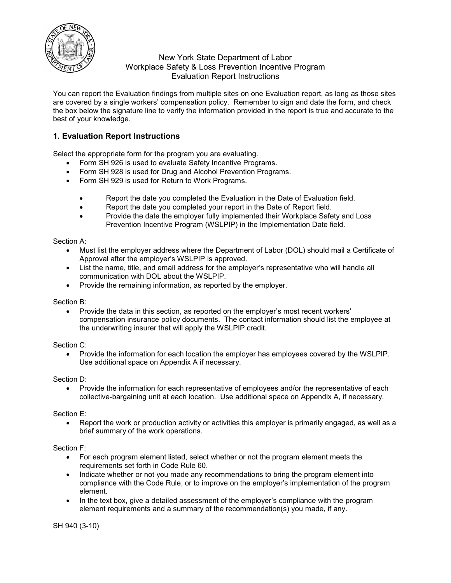

## New York State Department of Labor Workplace Safety & Loss Prevention Incentive Program Evaluation Report Instructions

You can report the Evaluation findings from multiple sites on one Evaluation report, as long as those sites are covered by a single workers' compensation policy. Remember to sign and date the form, and check the box below the signature line to verify the information provided in the report is true and accurate to the best of your knowledge.

# **1. Evaluation Report Instructions**

Select the appropriate form for the program you are evaluating.

- Form SH 926 is used to evaluate Safety Incentive Programs.
- Form SH 928 is used for Drug and Alcohol Prevention Programs.
- Form SH 929 is used for Return to Work Programs.
	- Report the date you completed the Evaluation in the Date of Evaluation field.
	- Report the date you completed your report in the Date of Report field.
	- Provide the date the employer fully implemented their Workplace Safety and Loss Prevention Incentive Program (WSLPIP) in the Implementation Date field.

#### Section A:

- Must list the employer address where the Department of Labor (DOL) should mail a Certificate of Approval after the employer's WSLPIP is approved.
- List the name, title, and email address for the employer's representative who will handle all communication with DOL about the WSLPIP.
- Provide the remaining information, as reported by the employer.

#### Section B:

• Provide the data in this section, as reported on the employer's most recent workers' compensation insurance policy documents. The contact information should list the employee at the underwriting insurer that will apply the WSLPIP credit.

#### Section C:

• Provide the information for each location the employer has employees covered by the WSLPIP. Use additional space on Appendix A if necessary.

#### Section D:

• Provide the information for each representative of employees and/or the representative of each collective-bargaining unit at each location. Use additional space on Appendix A, if necessary.

#### Section E:

• Report the work or production activity or activities this employer is primarily engaged, as well as a brief summary of the work operations.

#### Section F:

- For each program element listed, select whether or not the program element meets the requirements set forth in Code Rule 60.
- Indicate whether or not you made any recommendations to bring the program element into compliance with the Code Rule, or to improve on the employer's implementation of the program element.
- In the text box, give a detailed assessment of the employer's compliance with the program element requirements and a summary of the recommendation(s) you made, if any.

SH 940 (3-10)